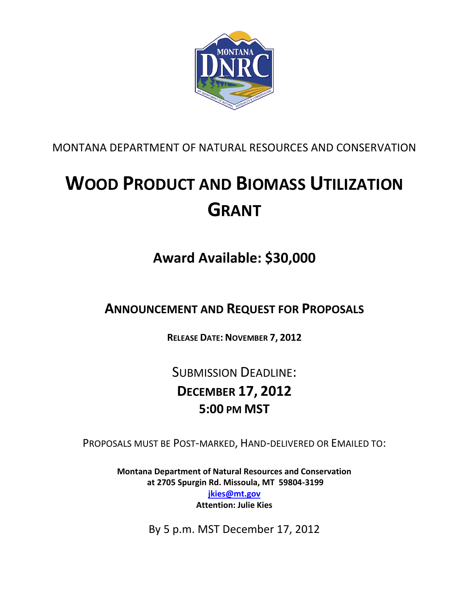

MONTANA DEPARTMENT OF NATURAL RESOURCES AND CONSERVATION

# **WOOD PRODUCT AND BIOMASS UTILIZATION GRANT**

## **Award Available: \$30,000**

**ANNOUNCEMENT AND REQUEST FOR PROPOSALS** 

**RELEASE DATE: NOVEMBER 7, 2012**

SUBMISSION DEADLINE: **DECEMBER 17, 2012 5:00 PM MST**

PROPOSALS MUST BE POST-MARKED, HAND-DELIVERED OR EMAILED TO:

**Montana Department of Natural Resources and Conservation at 2705 Spurgin Rd. Missoula, MT 59804-3199 [jkies@mt.gov](mailto:jkies@mt.gov) Attention: Julie Kies** 

By 5 p.m. MST December 17, 2012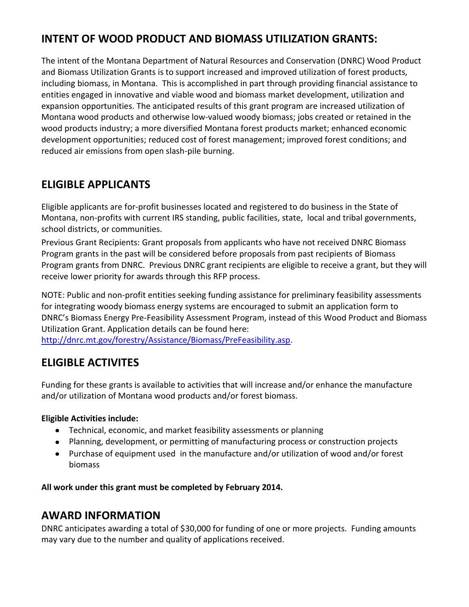## **INTENT OF WOOD PRODUCT AND BIOMASS UTILIZATION GRANTS:**

The intent of the Montana Department of Natural Resources and Conservation (DNRC) Wood Product and Biomass Utilization Grants is to support increased and improved utilization of forest products, including biomass, in Montana. This is accomplished in part through providing financial assistance to entities engaged in innovative and viable wood and biomass market development, utilization and expansion opportunities. The anticipated results of this grant program are increased utilization of Montana wood products and otherwise low-valued woody biomass; jobs created or retained in the wood products industry; a more diversified Montana forest products market; enhanced economic development opportunities; reduced cost of forest management; improved forest conditions; and reduced air emissions from open slash-pile burning.

## **ELIGIBLE APPLICANTS**

Eligible applicants are for-profit businesses located and registered to do business in the State of Montana, non-profits with current IRS standing, public facilities, state, local and tribal governments, school districts, or communities.

Previous Grant Recipients: Grant proposals from applicants who have not received DNRC Biomass Program grants in the past will be considered before proposals from past recipients of Biomass Program grants from DNRC. Previous DNRC grant recipients are eligible to receive a grant, but they will receive lower priority for awards through this RFP process.

NOTE: Public and non-profit entities seeking funding assistance for preliminary feasibility assessments for integrating woody biomass energy systems are encouraged to submit an application form to DNRC's Biomass Energy Pre-Feasibility Assessment Program, instead of this Wood Product and Biomass Utilization Grant. Application details can be found here:

[http://dnrc.mt.gov/forestry/Assistance/Biomass/PreFeasibility.asp.](http://dnrc.mt.gov/forestry/Assistance/Biomass/PreFeasibility.asp)

## **ELIGIBLE ACTIVITES**

Funding for these grants is available to activities that will increase and/or enhance the manufacture and/or utilization of Montana wood products and/or forest biomass.

#### **Eligible Activities include:**

- Technical, economic, and market feasibility assessments or planning
- Planning, development, or permitting of manufacturing process or construction projects
- Purchase of equipment used in the manufacture and/or utilization of wood and/or forest biomass

**All work under this grant must be completed by February 2014.**

## **AWARD INFORMATION**

DNRC anticipates awarding a total of \$30,000 for funding of one or more projects. Funding amounts may vary due to the number and quality of applications received.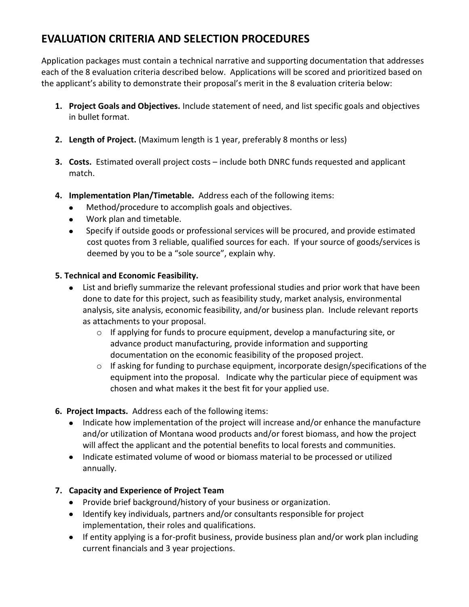## **EVALUATION CRITERIA AND SELECTION PROCEDURES**

Application packages must contain a technical narrative and supporting documentation that addresses each of the 8 evaluation criteria described below. Applications will be scored and prioritized based on the applicant's ability to demonstrate their proposal's merit in the 8 evaluation criteria below:

- **1. Project Goals and Objectives.** Include statement of need, and list specific goals and objectives in bullet format.
- **2. Length of Project.** (Maximum length is 1 year, preferably 8 months or less)
- **3. Costs.** Estimated overall project costs include both DNRC funds requested and applicant match.
- **4. Implementation Plan/Timetable.** Address each of the following items:
	- Method/procedure to accomplish goals and objectives.
	- Work plan and timetable.  $\bullet$
	- $\bullet$ Specify if outside goods or professional services will be procured, and provide estimated cost quotes from 3 reliable, qualified sources for each. If your source of goods/services is deemed by you to be a "sole source", explain why.

#### **5. Technical and Economic Feasibility.**

- List and briefly summarize the relevant professional studies and prior work that have been done to date for this project, such as feasibility study, market analysis, environmental analysis, site analysis, economic feasibility, and/or business plan. Include relevant reports as attachments to your proposal.
	- $\circ$  If applying for funds to procure equipment, develop a manufacturing site, or advance product manufacturing, provide information and supporting documentation on the economic feasibility of the proposed project.
	- o If asking for funding to purchase equipment, incorporate design/specifications of the equipment into the proposal. Indicate why the particular piece of equipment was chosen and what makes it the best fit for your applied use.
- **6. Project Impacts.** Address each of the following items:
	- Indicate how implementation of the project will increase and/or enhance the manufacture and/or utilization of Montana wood products and/or forest biomass, and how the project will affect the applicant and the potential benefits to local forests and communities.
	- Indicate estimated volume of wood or biomass material to be processed or utilized annually.

#### **7. Capacity and Experience of Project Team**

- Provide brief background/history of your business or organization.
- Identify key individuals, partners and/or consultants responsible for project implementation, their roles and qualifications.
- If entity applying is a for-profit business, provide business plan and/or work plan including current financials and 3 year projections.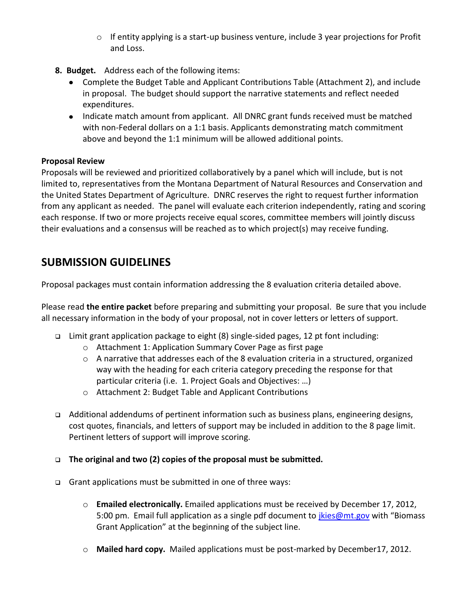- $\circ$  If entity applying is a start-up business venture, include 3 year projections for Profit and Loss.
- **8. Budget.** Address each of the following items:
	- Complete the Budget Table and Applicant Contributions Table (Attachment 2), and include in proposal. The budget should support the narrative statements and reflect needed expenditures.
	- Indicate match amount from applicant. All DNRC grant funds received must be matched with non-Federal dollars on a 1:1 basis. Applicants demonstrating match commitment above and beyond the 1:1 minimum will be allowed additional points.

#### **Proposal Review**

Proposals will be reviewed and prioritized collaboratively by a panel which will include, but is not limited to, representatives from the Montana Department of Natural Resources and Conservation and the United States Department of Agriculture. DNRC reserves the right to request further information from any applicant as needed. The panel will evaluate each criterion independently, rating and scoring each response. If two or more projects receive equal scores, committee members will jointly discuss their evaluations and a consensus will be reached as to which project(s) may receive funding.

## **SUBMISSION GUIDELINES**

Proposal packages must contain information addressing the 8 evaluation criteria detailed above.

Please read **the entire packet** before preparing and submitting your proposal. Be sure that you include all necessary information in the body of your proposal, not in cover letters or letters of support.

- Limit grant application package to eight (8) single-sided pages, 12 pt font including:
	- o Attachment 1: Application Summary Cover Page as first page
	- $\circ$  A narrative that addresses each of the 8 evaluation criteria in a structured, organized way with the heading for each criteria category preceding the response for that particular criteria (i.e. 1. Project Goals and Objectives: …)
	- o Attachment 2: Budget Table and Applicant Contributions
- Additional addendums of pertinent information such as business plans, engineering designs, cost quotes, financials, and letters of support may be included in addition to the 8 page limit. Pertinent letters of support will improve scoring.
- **The original and two (2) copies of the proposal must be submitted.**
- Grant applications must be submitted in one of three ways:
	- o **Emailed electronically.** Emailed applications must be received by December 17, 2012, 5:00 pm. Email full application as a single pdf document to [jkies@mt.gov](mailto:jkies@mt.gov) with "Biomass" Grant Application" at the beginning of the subject line.
	- o **Mailed hard copy.** Mailed applications must be post-marked by December17, 2012.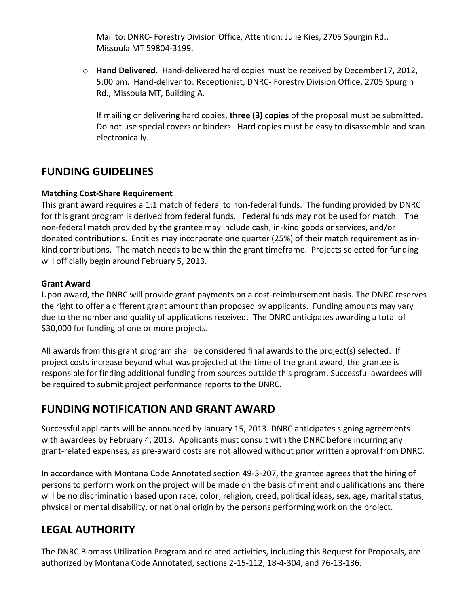Mail to: DNRC- Forestry Division Office, Attention: Julie Kies, 2705 Spurgin Rd., Missoula MT 59804-3199.

o **Hand Delivered.** Hand-delivered hard copies must be received by December17, 2012, 5:00 pm. Hand-deliver to: Receptionist, DNRC- Forestry Division Office, 2705 Spurgin Rd., Missoula MT, Building A.

If mailing or delivering hard copies, **three (3) copies** of the proposal must be submitted. Do not use special covers or binders. Hard copies must be easy to disassemble and scan electronically.

## **FUNDING GUIDELINES**

#### **Matching Cost-Share Requirement**

This grant award requires a 1:1 match of federal to non-federal funds. The funding provided by DNRC for this grant program is derived from federal funds. Federal funds may not be used for match. The non-federal match provided by the grantee may include cash, in-kind goods or services, and/or donated contributions. Entities may incorporate one quarter (25%) of their match requirement as inkind contributions. The match needs to be within the grant timeframe. Projects selected for funding will officially begin around February 5, 2013.

#### **Grant Award**

Upon award, the DNRC will provide grant payments on a cost-reimbursement basis. The DNRC reserves the right to offer a different grant amount than proposed by applicants. Funding amounts may vary due to the number and quality of applications received. The DNRC anticipates awarding a total of \$30,000 for funding of one or more projects.

All awards from this grant program shall be considered final awards to the project(s) selected. If project costs increase beyond what was projected at the time of the grant award, the grantee is responsible for finding additional funding from sources outside this program. Successful awardees will be required to submit project performance reports to the DNRC.

## **FUNDING NOTIFICATION AND GRANT AWARD**

Successful applicants will be announced by January 15, 2013. DNRC anticipates signing agreements with awardees by February 4, 2013. Applicants must consult with the DNRC before incurring any grant-related expenses, as pre-award costs are not allowed without prior written approval from DNRC.

In accordance with Montana Code Annotated section 49-3-207, the grantee agrees that the hiring of persons to perform work on the project will be made on the basis of merit and qualifications and there will be no discrimination based upon race, color, religion, creed, political ideas, sex, age, marital status, physical or mental disability, or national origin by the persons performing work on the project.

## **LEGAL AUTHORITY**

The DNRC Biomass Utilization Program and related activities, including this Request for Proposals, are authorized by Montana Code Annotated, sections 2-15-112, 18-4-304, and 76-13-136.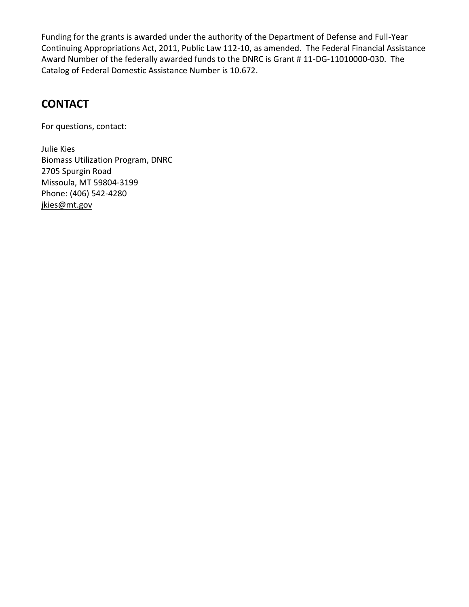Funding for the grants is awarded under the authority of the Department of Defense and Full-Year Continuing Appropriations Act, 2011, Public Law 112-10, as amended. The Federal Financial Assistance Award Number of the federally awarded funds to the DNRC is Grant # 11-DG-11010000-030. The Catalog of Federal Domestic Assistance Number is 10.672.

## **CONTACT**

For questions, contact:

Julie Kies Biomass Utilization Program, DNRC 2705 Spurgin Road Missoula, MT 59804-3199 Phone: (406) 542-4280 [jkies@mt.gov](mailto:jkies@mt.gov)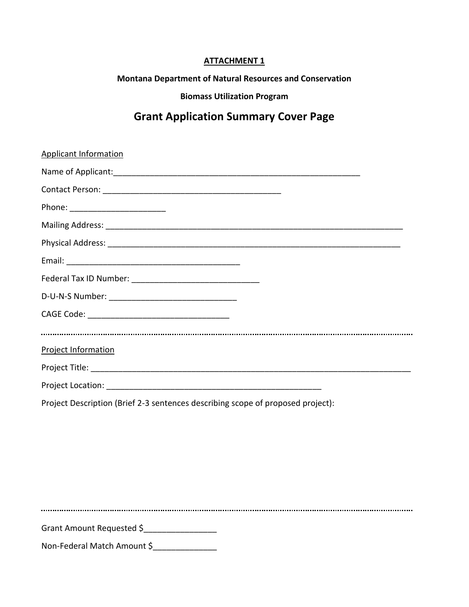#### **ATTACHMENT 1**

**Montana Department of Natural Resources and Conservation**

**Biomass Utilization Program**

## **Grant Application Summary Cover Page**

| <b>Applicant Information</b>                                                    |
|---------------------------------------------------------------------------------|
|                                                                                 |
|                                                                                 |
|                                                                                 |
|                                                                                 |
|                                                                                 |
|                                                                                 |
|                                                                                 |
|                                                                                 |
|                                                                                 |
|                                                                                 |
| <b>Project Information</b>                                                      |
|                                                                                 |
|                                                                                 |
| Project Description (Brief 2-3 sentences describing scope of proposed project): |
|                                                                                 |
|                                                                                 |

Grant Amount Requested \$

Non-Federal Match Amount \$